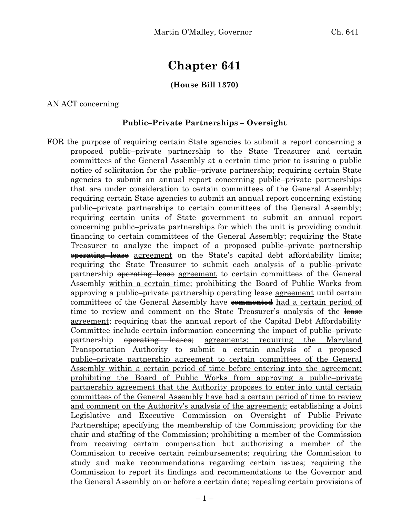# **Chapter 641**

## **(House Bill 1370)**

AN ACT concerning

#### **Public–Private Partnerships – Oversight**

FOR the purpose of requiring certain State agencies to submit a report concerning a proposed public–private partnership to the State Treasurer and certain committees of the General Assembly at a certain time prior to issuing a public notice of solicitation for the public–private partnership; requiring certain State agencies to submit an annual report concerning public–private partnerships that are under consideration to certain committees of the General Assembly; requiring certain State agencies to submit an annual report concerning existing public–private partnerships to certain committees of the General Assembly; requiring certain units of State government to submit an annual report concerning public–private partnerships for which the unit is providing conduit financing to certain committees of the General Assembly; requiring the State Treasurer to analyze the impact of a <u>proposed</u> public–private partnership operating lease agreement on the State's capital debt affordability limits; requiring the State Treasurer to submit each analysis of a public–private partnership <del>operating lease</del> agreement to certain committees of the General Assembly within a certain time; prohibiting the Board of Public Works from approving a public–private partnership operating lease agreement until certain committees of the General Assembly have commented had a certain period of time to review and comment on the State Treasurer's analysis of the lease agreement; requiring that the annual report of the Capital Debt Affordability Committee include certain information concerning the impact of public–private partnership <del>operating leases;</del> agreements; requiring the Maryland Transportation Authority to submit a certain analysis of a proposed public–private partnership agreement to certain committees of the General Assembly within a certain period of time before entering into the agreement; prohibiting the Board of Public Works from approving a public–private partnership agreement that the Authority proposes to enter into until certain committees of the General Assembly have had a certain period of time to review and comment on the Authority's analysis of the agreement; establishing a Joint Legislative and Executive Commission on Oversight of Public–Private Partnerships; specifying the membership of the Commission; providing for the chair and staffing of the Commission; prohibiting a member of the Commission from receiving certain compensation but authorizing a member of the Commission to receive certain reimbursements; requiring the Commission to study and make recommendations regarding certain issues; requiring the Commission to report its findings and recommendations to the Governor and the General Assembly on or before a certain date; repealing certain provisions of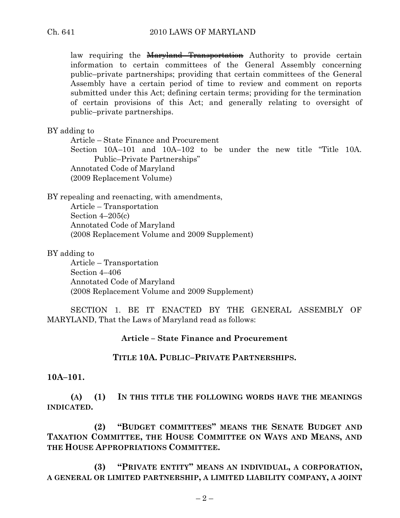law requiring the Maryland Transportation Authority to provide certain information to certain committees of the General Assembly concerning public–private partnerships; providing that certain committees of the General Assembly have a certain period of time to review and comment on reports submitted under this Act; defining certain terms; providing for the termination of certain provisions of this Act; and generally relating to oversight of public–private partnerships.

#### BY adding to

Article – State Finance and Procurement Section 10A–101 and 10A–102 to be under the new title "Title 10A. Public–Private Partnerships" Annotated Code of Maryland (2009 Replacement Volume)

BY repealing and reenacting, with amendments, Article – Transportation Section 4–205(c) Annotated Code of Maryland (2008 Replacement Volume and 2009 Supplement)

#### BY adding to

Article – Transportation Section 4–406 Annotated Code of Maryland (2008 Replacement Volume and 2009 Supplement)

SECTION 1. BE IT ENACTED BY THE GENERAL ASSEMBLY OF MARYLAND, That the Laws of Maryland read as follows:

## **Article – State Finance and Procurement**

# **TITLE 10A. PUBLIC–PRIVATE PARTNERSHIPS.**

#### **10A–101.**

**(A) (1) IN THIS TITLE THE FOLLOWING WORDS HAVE THE MEANINGS INDICATED.**

**(2) "BUDGET COMMITTEES" MEANS THE SENATE BUDGET AND TAXATION COMMITTEE, THE HOUSE COMMITTEE ON WAYS AND MEANS, AND THE HOUSE APPROPRIATIONS COMMITTEE.**

**(3) "PRIVATE ENTITY" MEANS AN INDIVIDUAL, A CORPORATION, A GENERAL OR LIMITED PARTNERSHIP, A LIMITED LIABILITY COMPANY, A JOINT**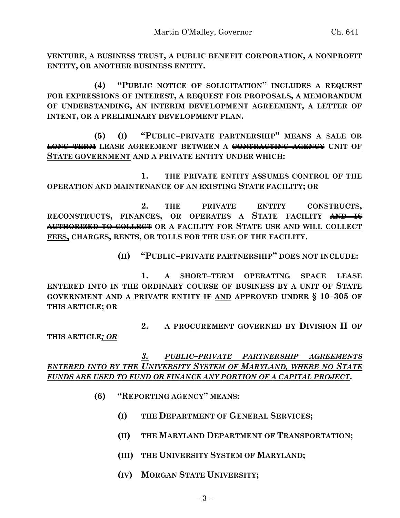**VENTURE, A BUSINESS TRUST, A PUBLIC BENEFIT CORPORATION, A NONPROFIT ENTITY, OR ANOTHER BUSINESS ENTITY.**

**(4) "PUBLIC NOTICE OF SOLICITATION" INCLUDES A REQUEST FOR EXPRESSIONS OF INTEREST, A REQUEST FOR PROPOSALS, A MEMORANDUM OF UNDERSTANDING, AN INTERIM DEVELOPMENT AGREEMENT, A LETTER OF INTENT, OR A PRELIMINARY DEVELOPMENT PLAN.**

**(5) (I) "PUBLIC–PRIVATE PARTNERSHIP" MEANS A SALE OR LONG–TERM LEASE AGREEMENT BETWEEN A CONTRACTING AGENCY UNIT OF STATE GOVERNMENT AND A PRIVATE ENTITY UNDER WHICH:**

**1. THE PRIVATE ENTITY ASSUMES CONTROL OF THE OPERATION AND MAINTENANCE OF AN EXISTING STATE FACILITY; OR**

**2. THE PRIVATE ENTITY CONSTRUCTS, RECONSTRUCTS, FINANCES, OR OPERATES A STATE FACILITY AND IS AUTHORIZED TO COLLECT OR A FACILITY FOR STATE USE AND WILL COLLECT FEES, CHARGES, RENTS, OR TOLLS FOR THE USE OF THE FACILITY.**

**(II) "PUBLIC–PRIVATE PARTNERSHIP" DOES NOT INCLUDE:**

**1. A SHORT–TERM OPERATING SPACE LEASE ENTERED INTO IN THE ORDINARY COURSE OF BUSINESS BY A UNIT OF STATE GOVERNMENT AND A PRIVATE ENTITY IF AND APPROVED UNDER § 10–305 OF THIS ARTICLE; OR**

**2. A PROCUREMENT GOVERNED BY DIVISION II OF** 

**THIS ARTICLE***; OR*

*3. PUBLIC–PRIVATE PARTNERSHIP AGREEMENTS ENTERED INTO BY THE UNIVERSITY SYSTEM OF MARYLAND, WHERE NO STATE FUNDS ARE USED TO FUND OR FINANCE ANY PORTION OF A CAPITAL PROJECT***.**

- **(6) "REPORTING AGENCY" MEANS:**
	- **(I) THE DEPARTMENT OF GENERAL SERVICES;**
	- **(II) THE MARYLAND DEPARTMENT OF TRANSPORTATION;**
	- **(III) THE UNIVERSITY SYSTEM OF MARYLAND;**
	- **(IV) MORGAN STATE UNIVERSITY;**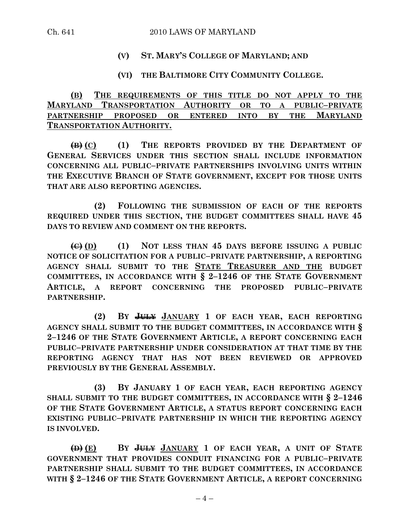## **(V) ST. MARY'S COLLEGE OF MARYLAND; AND**

## **(VI) THE BALTIMORE CITY COMMUNITY COLLEGE.**

**(B) THE REQUIREMENTS OF THIS TITLE DO NOT APPLY TO THE MARYLAND TRANSPORTATION AUTHORITY OR TO A PUBLIC–PRIVATE PARTNERSHIP PROPOSED OR ENTERED INTO BY THE MARYLAND TRANSPORTATION AUTHORITY.**

**(B) (C) (1) THE REPORTS PROVIDED BY THE DEPARTMENT OF GENERAL SERVICES UNDER THIS SECTION SHALL INCLUDE INFORMATION CONCERNING ALL PUBLIC–PRIVATE PARTNERSHIPS INVOLVING UNITS WITHIN THE EXECUTIVE BRANCH OF STATE GOVERNMENT, EXCEPT FOR THOSE UNITS THAT ARE ALSO REPORTING AGENCIES.**

**(2) FOLLOWING THE SUBMISSION OF EACH OF THE REPORTS REQUIRED UNDER THIS SECTION, THE BUDGET COMMITTEES SHALL HAVE 45 DAYS TO REVIEW AND COMMENT ON THE REPORTS.**

**(C) (D) (1) NOT LESS THAN 45 DAYS BEFORE ISSUING A PUBLIC NOTICE OF SOLICITATION FOR A PUBLIC–PRIVATE PARTNERSHIP, A REPORTING AGENCY SHALL SUBMIT TO THE STATE TREASURER AND THE BUDGET COMMITTEES, IN ACCORDANCE WITH § 2–1246 OF THE STATE GOVERNMENT ARTICLE, A REPORT CONCERNING THE PROPOSED PUBLIC–PRIVATE PARTNERSHIP.**

**(2) BY JULY JANUARY 1 OF EACH YEAR, EACH REPORTING AGENCY SHALL SUBMIT TO THE BUDGET COMMITTEES, IN ACCORDANCE WITH § 2–1246 OF THE STATE GOVERNMENT ARTICLE, A REPORT CONCERNING EACH PUBLIC–PRIVATE PARTNERSHIP UNDER CONSIDERATION AT THAT TIME BY THE REPORTING AGENCY THAT HAS NOT BEEN REVIEWED OR APPROVED PREVIOUSLY BY THE GENERAL ASSEMBLY.**

**(3) BY JANUARY 1 OF EACH YEAR, EACH REPORTING AGENCY SHALL SUBMIT TO THE BUDGET COMMITTEES, IN ACCORDANCE WITH § 2–1246 OF THE STATE GOVERNMENT ARTICLE, A STATUS REPORT CONCERNING EACH EXISTING PUBLIC–PRIVATE PARTNERSHIP IN WHICH THE REPORTING AGENCY IS INVOLVED.**

**(D) (E) BY JULY JANUARY 1 OF EACH YEAR, A UNIT OF STATE GOVERNMENT THAT PROVIDES CONDUIT FINANCING FOR A PUBLIC–PRIVATE PARTNERSHIP SHALL SUBMIT TO THE BUDGET COMMITTEES, IN ACCORDANCE WITH § 2–1246 OF THE STATE GOVERNMENT ARTICLE, A REPORT CONCERNING**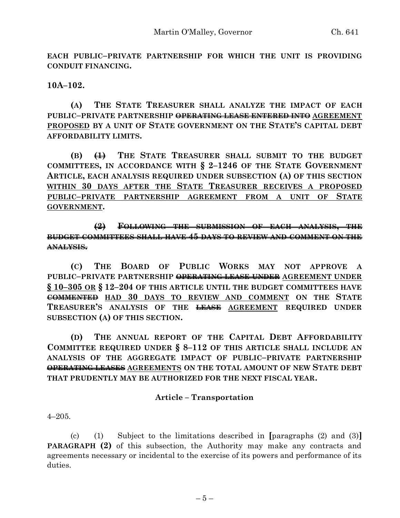**EACH PUBLIC–PRIVATE PARTNERSHIP FOR WHICH THE UNIT IS PROVIDING CONDUIT FINANCING.**

**10A–102.**

**(A) THE STATE TREASURER SHALL ANALYZE THE IMPACT OF EACH PUBLIC–PRIVATE PARTNERSHIP OPERATING LEASE ENTERED INTO AGREEMENT PROPOSED BY A UNIT OF STATE GOVERNMENT ON THE STATE'S CAPITAL DEBT AFFORDABILITY LIMITS.**

**(B) (1) THE STATE TREASURER SHALL SUBMIT TO THE BUDGET COMMITTEES, IN ACCORDANCE WITH § 2–1246 OF THE STATE GOVERNMENT ARTICLE, EACH ANALYSIS REQUIRED UNDER SUBSECTION (A) OF THIS SECTION WITHIN 30 DAYS AFTER THE STATE TREASURER RECEIVES A PROPOSED PUBLIC–PRIVATE PARTNERSHIP AGREEMENT FROM A UNIT OF STATE GOVERNMENT.**

**(2) FOLLOWING THE SUBMISSION OF EACH ANALYSIS, THE BUDGET COMMITTEES SHALL HAVE 45 DAYS TO REVIEW AND COMMENT ON THE ANALYSIS.**

**(C) THE BOARD OF PUBLIC WORKS MAY NOT APPROVE A PUBLIC–PRIVATE PARTNERSHIP OPERATING LEASE UNDER AGREEMENT UNDER § 10–305 OR § 12–204 OF THIS ARTICLE UNTIL THE BUDGET COMMITTEES HAVE COMMENTED HAD 30 DAYS TO REVIEW AND COMMENT ON THE STATE TREASURER'S ANALYSIS OF THE LEASE AGREEMENT REQUIRED UNDER SUBSECTION (A) OF THIS SECTION.**

**(D) THE ANNUAL REPORT OF THE CAPITAL DEBT AFFORDABILITY COMMITTEE REQUIRED UNDER § 8–112 OF THIS ARTICLE SHALL INCLUDE AN ANALYSIS OF THE AGGREGATE IMPACT OF PUBLIC–PRIVATE PARTNERSHIP OPERATING LEASES AGREEMENTS ON THE TOTAL AMOUNT OF NEW STATE DEBT THAT PRUDENTLY MAY BE AUTHORIZED FOR THE NEXT FISCAL YEAR.**

## **Article – Transportation**

4–205.

(c) (1) Subject to the limitations described in **[**paragraphs (2) and (3)**] PARAGRAPH (2)** of this subsection, the Authority may make any contracts and agreements necessary or incidental to the exercise of its powers and performance of its duties.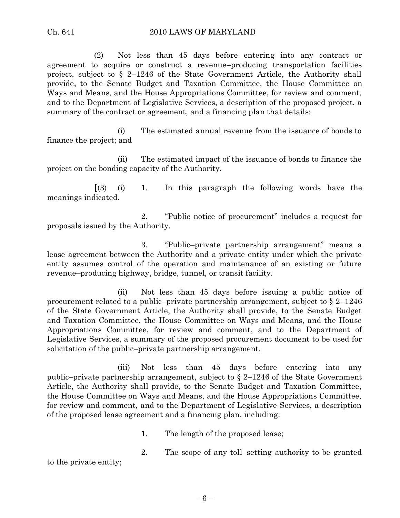(2) Not less than 45 days before entering into any contract or agreement to acquire or construct a revenue–producing transportation facilities project, subject to § 2–1246 of the State Government Article, the Authority shall provide, to the Senate Budget and Taxation Committee, the House Committee on Ways and Means, and the House Appropriations Committee, for review and comment, and to the Department of Legislative Services, a description of the proposed project, a summary of the contract or agreement, and a financing plan that details:

(i) The estimated annual revenue from the issuance of bonds to finance the project; and

(ii) The estimated impact of the issuance of bonds to finance the project on the bonding capacity of the Authority.

**[**(3) (i) 1. In this paragraph the following words have the meanings indicated.

2. "Public notice of procurement" includes a request for proposals issued by the Authority.

3. "Public–private partnership arrangement" means a lease agreement between the Authority and a private entity under which the private entity assumes control of the operation and maintenance of an existing or future revenue–producing highway, bridge, tunnel, or transit facility.

(ii) Not less than 45 days before issuing a public notice of procurement related to a public–private partnership arrangement, subject to § 2–1246 of the State Government Article, the Authority shall provide, to the Senate Budget and Taxation Committee, the House Committee on Ways and Means, and the House Appropriations Committee, for review and comment, and to the Department of Legislative Services, a summary of the proposed procurement document to be used for solicitation of the public–private partnership arrangement.

(iii) Not less than 45 days before entering into any public–private partnership arrangement, subject to § 2–1246 of the State Government Article, the Authority shall provide, to the Senate Budget and Taxation Committee, the House Committee on Ways and Means, and the House Appropriations Committee, for review and comment, and to the Department of Legislative Services, a description of the proposed lease agreement and a financing plan, including:

1. The length of the proposed lease;

2. The scope of any toll–setting authority to be granted

to the private entity;

– 6 –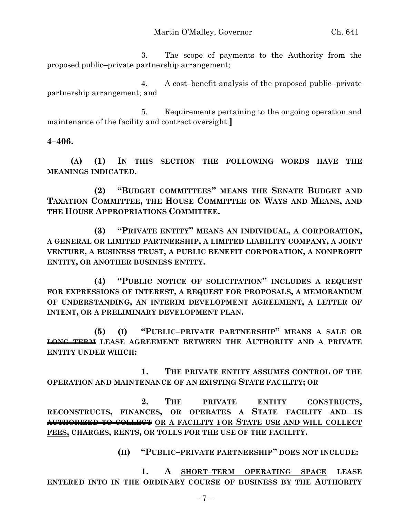3. The scope of payments to the Authority from the proposed public–private partnership arrangement;

4. A cost–benefit analysis of the proposed public–private partnership arrangement; and

5. Requirements pertaining to the ongoing operation and maintenance of the facility and contract oversight.**]**

## **4–406.**

**(A) (1) IN THIS SECTION THE FOLLOWING WORDS HAVE THE MEANINGS INDICATED.**

**(2) "BUDGET COMMITTEES" MEANS THE SENATE BUDGET AND TAXATION COMMITTEE, THE HOUSE COMMITTEE ON WAYS AND MEANS, AND THE HOUSE APPROPRIATIONS COMMITTEE.**

**(3) "PRIVATE ENTITY" MEANS AN INDIVIDUAL, A CORPORATION, A GENERAL OR LIMITED PARTNERSHIP, A LIMITED LIABILITY COMPANY, A JOINT VENTURE, A BUSINESS TRUST, A PUBLIC BENEFIT CORPORATION, A NONPROFIT ENTITY, OR ANOTHER BUSINESS ENTITY.**

**(4) "PUBLIC NOTICE OF SOLICITATION" INCLUDES A REQUEST FOR EXPRESSIONS OF INTEREST, A REQUEST FOR PROPOSALS, A MEMORANDUM OF UNDERSTANDING, AN INTERIM DEVELOPMENT AGREEMENT, A LETTER OF INTENT, OR A PRELIMINARY DEVELOPMENT PLAN.**

**(5) (I) "PUBLIC–PRIVATE PARTNERSHIP" MEANS A SALE OR LONG–TERM LEASE AGREEMENT BETWEEN THE AUTHORITY AND A PRIVATE ENTITY UNDER WHICH:**

**1. THE PRIVATE ENTITY ASSUMES CONTROL OF THE OPERATION AND MAINTENANCE OF AN EXISTING STATE FACILITY; OR**

**2. THE PRIVATE ENTITY CONSTRUCTS, RECONSTRUCTS, FINANCES, OR OPERATES A STATE FACILITY AND IS AUTHORIZED TO COLLECT OR A FACILITY FOR STATE USE AND WILL COLLECT FEES, CHARGES, RENTS, OR TOLLS FOR THE USE OF THE FACILITY.**

**(II) "PUBLIC–PRIVATE PARTNERSHIP" DOES NOT INCLUDE:**

**1. A SHORT–TERM OPERATING SPACE LEASE ENTERED INTO IN THE ORDINARY COURSE OF BUSINESS BY THE AUTHORITY**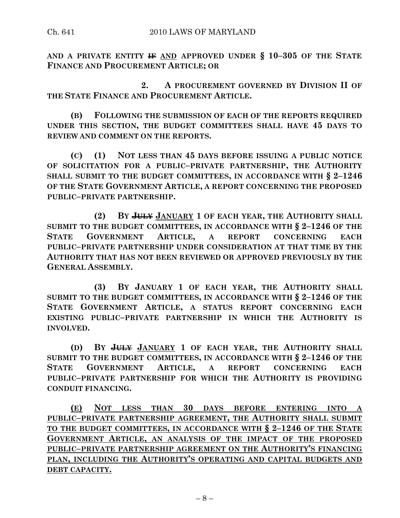**AND A PRIVATE ENTITY IF AND APPROVED UNDER § 10–305 OF THE STATE FINANCE AND PROCUREMENT ARTICLE; OR**

**2. A PROCUREMENT GOVERNED BY DIVISION II OF THE STATE FINANCE AND PROCUREMENT ARTICLE.**

**(B) FOLLOWING THE SUBMISSION OF EACH OF THE REPORTS REQUIRED UNDER THIS SECTION, THE BUDGET COMMITTEES SHALL HAVE 45 DAYS TO REVIEW AND COMMENT ON THE REPORTS.**

**(C) (1) NOT LESS THAN 45 DAYS BEFORE ISSUING A PUBLIC NOTICE OF SOLICITATION FOR A PUBLIC–PRIVATE PARTNERSHIP, THE AUTHORITY SHALL SUBMIT TO THE BUDGET COMMITTEES, IN ACCORDANCE WITH § 2–1246 OF THE STATE GOVERNMENT ARTICLE, A REPORT CONCERNING THE PROPOSED PUBLIC–PRIVATE PARTNERSHIP.**

**(2) BY JULY JANUARY 1 OF EACH YEAR, THE AUTHORITY SHALL SUBMIT TO THE BUDGET COMMITTEES, IN ACCORDANCE WITH § 2–1246 OF THE STATE GOVERNMENT ARTICLE, A REPORT CONCERNING EACH PUBLIC–PRIVATE PARTNERSHIP UNDER CONSIDERATION AT THAT TIME BY THE AUTHORITY THAT HAS NOT BEEN REVIEWED OR APPROVED PREVIOUSLY BY THE GENERAL ASSEMBLY.**

**(3) BY JANUARY 1 OF EACH YEAR, THE AUTHORITY SHALL SUBMIT TO THE BUDGET COMMITTEES, IN ACCORDANCE WITH § 2–1246 OF THE STATE GOVERNMENT ARTICLE, A STATUS REPORT CONCERNING EACH EXISTING PUBLIC–PRIVATE PARTNERSHIP IN WHICH THE AUTHORITY IS INVOLVED.**

**(D) BY JULY JANUARY 1 OF EACH YEAR, THE AUTHORITY SHALL SUBMIT TO THE BUDGET COMMITTEES, IN ACCORDANCE WITH § 2–1246 OF THE STATE GOVERNMENT ARTICLE, A REPORT CONCERNING EACH PUBLIC–PRIVATE PARTNERSHIP FOR WHICH THE AUTHORITY IS PROVIDING CONDUIT FINANCING.**

**(E) NOT LESS THAN 30 DAYS BEFORE ENTERING INTO A PUBLIC–PRIVATE PARTNERSHIP AGREEMENT, THE AUTHORITY SHALL SUBMIT TO THE BUDGET COMMITTEES, IN ACCORDANCE WITH § 2–1246 OF THE STATE GOVERNMENT ARTICLE, AN ANALYSIS OF THE IMPACT OF THE PROPOSED PUBLIC–PRIVATE PARTNERSHIP AGREEMENT ON THE AUTHORITY'S FINANCING PLAN, INCLUDING THE AUTHORITY'S OPERATING AND CAPITAL BUDGETS AND DEBT CAPACITY.**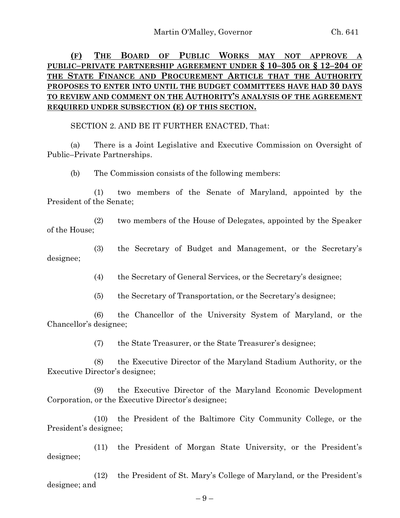# **(F) THE BOARD OF PUBLIC WORKS MAY NOT APPROVE A PUBLIC–PRIVATE PARTNERSHIP AGREEMENT UNDER § 10–305 OR § 12–204 OF THE STATE FINANCE AND PROCUREMENT ARTICLE THAT THE AUTHORITY PROPOSES TO ENTER INTO UNTIL THE BUDGET COMMITTEES HAVE HAD 30 DAYS TO REVIEW AND COMMENT ON THE AUTHORITY'S ANALYSIS OF THE AGREEMENT REQUIRED UNDER SUBSECTION (E) OF THIS SECTION.**

SECTION 2. AND BE IT FURTHER ENACTED, That:

(a) There is a Joint Legislative and Executive Commission on Oversight of Public–Private Partnerships.

(b) The Commission consists of the following members:

(1) two members of the Senate of Maryland, appointed by the President of the Senate;

(2) two members of the House of Delegates, appointed by the Speaker of the House;

(3) the Secretary of Budget and Management, or the Secretary's designee;

(4) the Secretary of General Services, or the Secretary's designee;

(5) the Secretary of Transportation, or the Secretary's designee;

(6) the Chancellor of the University System of Maryland, or the Chancellor's designee;

(7) the State Treasurer, or the State Treasurer's designee;

(8) the Executive Director of the Maryland Stadium Authority, or the Executive Director's designee;

(9) the Executive Director of the Maryland Economic Development Corporation, or the Executive Director's designee;

(10) the President of the Baltimore City Community College, or the President's designee;

(11) the President of Morgan State University, or the President's designee;

(12) the President of St. Mary's College of Maryland, or the President's designee; and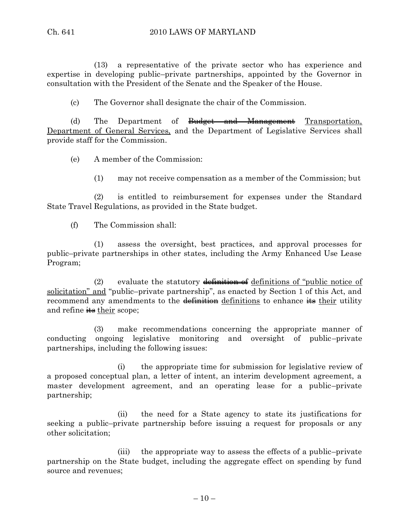(13) a representative of the private sector who has experience and expertise in developing public–private partnerships, appointed by the Governor in consultation with the President of the Senate and the Speaker of the House.

(c) The Governor shall designate the chair of the Commission.

(d) The Department of <del>Budget and Management</del> Transportation, Department of General Services, and the Department of Legislative Services shall provide staff for the Commission.

(e) A member of the Commission:

(1) may not receive compensation as a member of the Commission; but

(2) is entitled to reimbursement for expenses under the Standard State Travel Regulations, as provided in the State budget.

(f) The Commission shall:

(1) assess the oversight, best practices, and approval processes for public–private partnerships in other states, including the Army Enhanced Use Lease Program;

(2) evaluate the statutory  $\frac{d}{dt}$  definitions of "public notice of solicitation" and "public–private partnership", as enacted by Section 1 of this Act, and recommend any amendments to the  $\frac{d}{dt}$  definitions to enhance  $\frac{d}{dt}$  their utility and refine  $\frac{1}{10}$  their scope;

(3) make recommendations concerning the appropriate manner of conducting ongoing legislative monitoring and oversight of public–private partnerships, including the following issues:

(i) the appropriate time for submission for legislative review of a proposed conceptual plan, a letter of intent, an interim development agreement, a master development agreement, and an operating lease for a public–private partnership;

(ii) the need for a State agency to state its justifications for seeking a public–private partnership before issuing a request for proposals or any other solicitation;

(iii) the appropriate way to assess the effects of a public–private partnership on the State budget, including the aggregate effect on spending by fund source and revenues;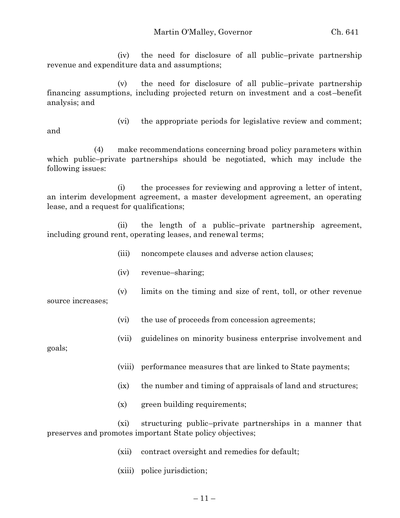(iv) the need for disclosure of all public–private partnership revenue and expenditure data and assumptions;

(v) the need for disclosure of all public–private partnership financing assumptions, including projected return on investment and a cost–benefit analysis; and

(vi) the appropriate periods for legislative review and comment;

and

(4) make recommendations concerning broad policy parameters within which public–private partnerships should be negotiated, which may include the following issues:

(i) the processes for reviewing and approving a letter of intent, an interim development agreement, a master development agreement, an operating lease, and a request for qualifications;

(ii) the length of a public–private partnership agreement, including ground rent, operating leases, and renewal terms;

- (iii) noncompete clauses and adverse action clauses;
- (iv) revenue–sharing;
- (v) limits on the timing and size of rent, toll, or other revenue

source increases;

- (vi) the use of proceeds from concession agreements;
- (vii) guidelines on minority business enterprise involvement and

goals;

- (viii) performance measures that are linked to State payments;
- (ix) the number and timing of appraisals of land and structures;
- (x) green building requirements;

(xi) structuring public–private partnerships in a manner that preserves and promotes important State policy objectives;

- (xii) contract oversight and remedies for default;
- (xiii) police jurisdiction;